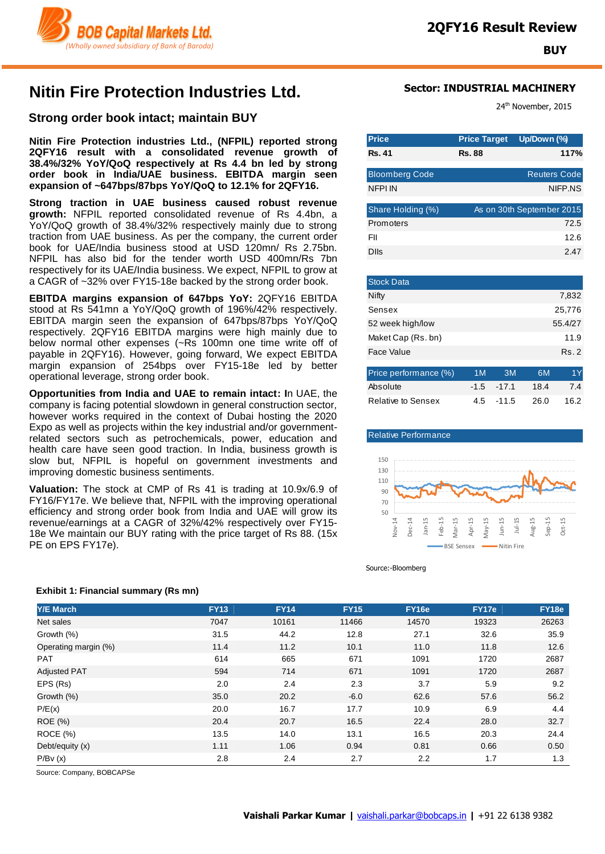

# **Nitin Fire Protection Industries Ltd.**

### **Strong order book intact; maintain BUY**

**Nitin Fire Protection industries Ltd., (NFPIL) reported strong 2QFY16 result with a consolidated revenue growth of 38.4%/32% YoY/QoQ respectively at Rs 4.4 bn led by strong order book in India/UAE business. EBITDA margin seen expansion of ~647bps/87bps YoY/QoQ to 12.1% for 2QFY16.** 

**Strong traction in UAE business caused robust revenue growth:** NFPIL reported consolidated revenue of Rs 4.4bn, a YoY/QoQ growth of 38.4%/32% respectively mainly due to strong traction from UAE business. As per the company, the current order book for UAE/India business stood at USD 120mn/ Rs 2.75bn. NFPIL has also bid for the tender worth USD 400mn/Rs 7bn respectively for its UAE/India business. We expect, NFPIL to grow at a CAGR of ~32% over FY15-18e backed by the strong order book.

**EBITDA margins expansion of 647bps YoY:** 2QFY16 EBITDA stood at Rs 541mn a YoY/QoQ growth of 196%/42% respectively. EBITDA margin seen the expansion of 647bps/87bps YoY/QoQ respectively. 2QFY16 EBITDA margins were high mainly due to below normal other expenses (~Rs 100mn one time write off of payable in 2QFY16). However, going forward, We expect EBITDA margin expansion of 254bps over FY15-18e led by better operational leverage, strong order book.

**Opportunities from India and UAE to remain intact: I**n UAE, the company is facing potential slowdown in general construction sector, however works required in the context of Dubai hosting the 2020 Expo as well as projects within the key industrial and/or governmentrelated sectors such as petrochemicals, power, education and health care have seen good traction. In India, business growth is slow but, NFPIL is hopeful on government investments and improving domestic business sentiments.

**Valuation:** The stock at CMP of Rs 41 is trading at 10.9x/6.9 of FY16/FY17e. We believe that, NFPIL with the improving operational efficiency and strong order book from India and UAE will grow its revenue/earnings at a CAGR of 32%/42% respectively over FY15- 18e We maintain our BUY rating with the price target of Rs 88. (15x PE on EPS FY17e).

### **Sector: INDUSTRIAL MACHINERY**

24<sup>th</sup> November, 2015

| <b>Price</b>          | <b>Price Target</b> | Up/Down (%)               |
|-----------------------|---------------------|---------------------------|
| <b>Rs.41</b>          | <b>Rs. 88</b>       | 117%                      |
| <b>Bloomberg Code</b> |                     | <b>Reuters Code</b>       |
| <b>NFPI IN</b>        |                     | NIFP.NS                   |
| Share Holding (%)     |                     | As on 30th September 2015 |
| Promoters             |                     | 72.5                      |
| FII                   |                     | 12.6                      |
| Dlls                  |                     | 2.47                      |
|                       |                     |                           |

| <b>Stock Data</b>  |         |
|--------------------|---------|
| Nifty              | 7,832   |
| Sensex             | 25,776  |
| 52 week high/low   | 55.4/27 |
| Maket Cap (Rs. bn) | 11.9    |
| Face Value         | Rs.2    |
|                    |         |

| Price performance (%)     | 1 M | 3M            | 6M'  | 1Y.  |
|---------------------------|-----|---------------|------|------|
| Absolute                  |     | $-1.5 - 17.1$ | 18.4 | 7.4  |
| <b>Relative to Sensex</b> |     | $4.5 - 11.5$  | 26.0 | 16.2 |





Source:-Bloomberg

| <b>Y/E March</b>     | <b>FY13</b> | <b>FY14</b> | <b>FY15</b> | <b>FY16e</b> | <b>FY17e</b> | <b>FY18e</b> |
|----------------------|-------------|-------------|-------------|--------------|--------------|--------------|
| Net sales            | 7047        | 10161       | 11466       | 14570        | 19323        | 26263        |
| Growth (%)           | 31.5        | 44.2        | 12.8        | 27.1         | 32.6         | 35.9         |
| Operating margin (%) | 11.4        | 11.2        | 10.1        | 11.0         | 11.8         | 12.6         |
| <b>PAT</b>           | 614         | 665         | 671         | 1091         | 1720         | 2687         |
| <b>Adjusted PAT</b>  | 594         | 714         | 671         | 1091         | 1720         | 2687         |
| EPS (Rs)             | 2.0         | 2.4         | 2.3         | 3.7          | 5.9          | 9.2          |
| Growth (%)           | 35.0        | 20.2        | $-6.0$      | 62.6         | 57.6         | 56.2         |
| P/E(x)               | 20.0        | 16.7        | 17.7        | 10.9         | 6.9          | 4.4          |
| <b>ROE</b> (%)       | 20.4        | 20.7        | 16.5        | 22.4         | 28.0         | 32.7         |
| ROCE (%)             | 13.5        | 14.0        | 13.1        | 16.5         | 20.3         | 24.4         |
| Debt/equity (x)      | 1.11        | 1.06        | 0.94        | 0.81         | 0.66         | 0.50         |
| P/Bv(x)              | 2.8         | 2.4         | 2.7         | 2.2          | 1.7          | 1.3          |

Source: Company, BOBCAPSe

#### **Exhibit 1: Financial summary (Rs mn)**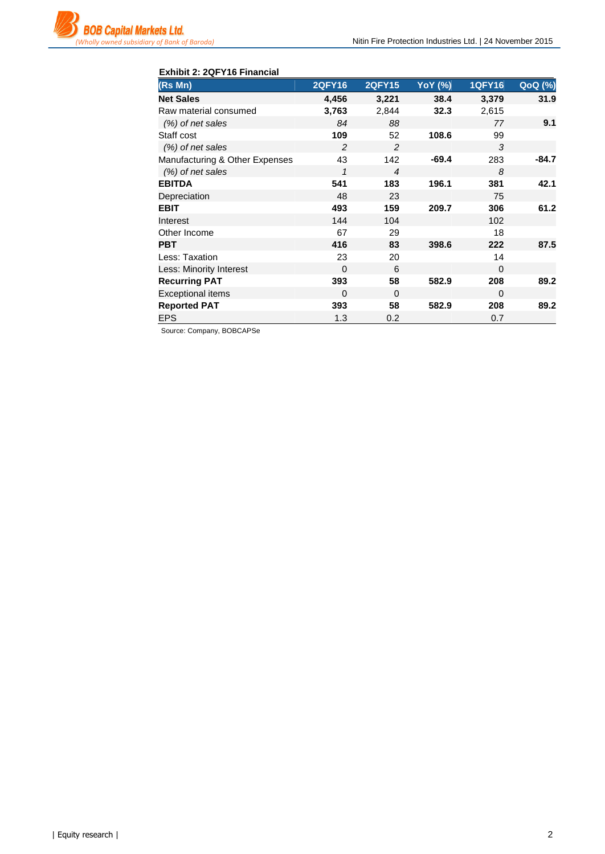| Exhibit 2: 2QFY16 Financial    |                |                |                |               |         |  |  |
|--------------------------------|----------------|----------------|----------------|---------------|---------|--|--|
| (Rs Mn)                        | <b>2QFY16</b>  | <b>2QFY15</b>  | <b>YoY</b> (%) | <b>1QFY16</b> | QoQ (%) |  |  |
| <b>Net Sales</b>               | 4,456          | 3,221          | 38.4           | 3,379         | 31.9    |  |  |
| Raw material consumed          | 3,763          | 2,844          | 32.3           | 2,615         |         |  |  |
| $(\%)$ of net sales            | 84             | 88             |                | 77            | 9.1     |  |  |
| Staff cost                     | 109            | 52             | 108.6          | 99            |         |  |  |
| (%) of net sales               | $\overline{c}$ | $\mathfrak{p}$ |                | 3             |         |  |  |
| Manufacturing & Other Expenses | 43             | 142            | $-69.4$        | 283           | $-84.7$ |  |  |
| (%) of net sales               | $\mathbf{1}$   | $\overline{4}$ |                | 8             |         |  |  |
| <b>EBITDA</b>                  | 541            | 183            | 196.1          | 381           | 42.1    |  |  |
| Depreciation                   | 48             | 23             |                | 75            |         |  |  |
| <b>EBIT</b>                    | 493            | 159            | 209.7          | 306           | 61.2    |  |  |
| Interest                       | 144            | 104            |                | 102           |         |  |  |
| Other Income                   | 67             | 29             |                | 18            |         |  |  |
| <b>PBT</b>                     | 416            | 83             | 398.6          | 222           | 87.5    |  |  |
| Less: Taxation                 | 23             | 20             |                | 14            |         |  |  |
| Less: Minority Interest        | $\Omega$       | 6              |                | $\Omega$      |         |  |  |
| <b>Recurring PAT</b>           | 393            | 58             | 582.9          | 208           | 89.2    |  |  |
| <b>Exceptional items</b>       | $\Omega$       | $\Omega$       |                | $\Omega$      |         |  |  |
| <b>Reported PAT</b>            | 393            | 58             | 582.9          | 208           | 89.2    |  |  |
| <b>EPS</b>                     | 1.3            | 0.2            |                | 0.7           |         |  |  |

Source: Company, BOBCAPSe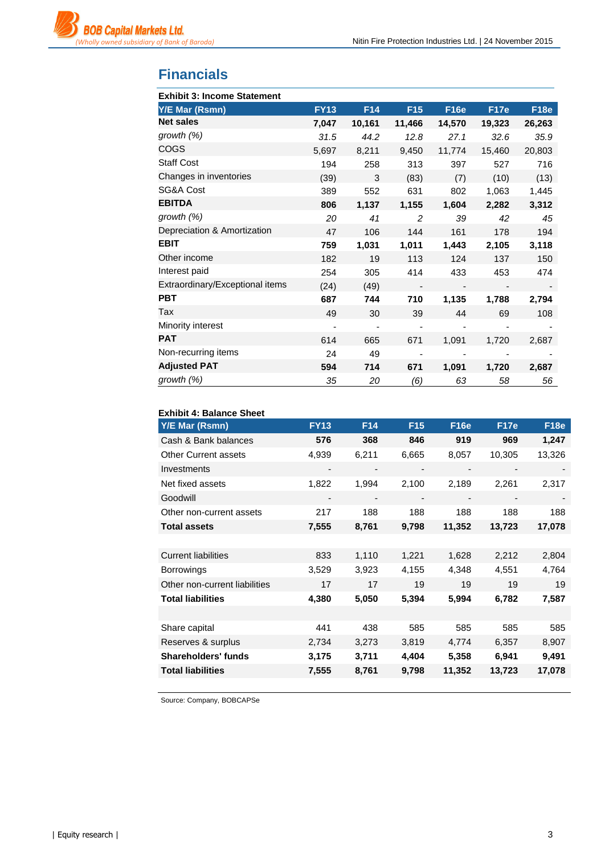

# **Financials**

| <b>Exhibit 3: Income Statement</b> |             |                 |                              |             |             |        |
|------------------------------------|-------------|-----------------|------------------------------|-------------|-------------|--------|
| Y/E Mar (Rsmn)                     | <b>FY13</b> | F <sub>14</sub> | F <sub>15</sub>              | <b>F16e</b> | <b>F17e</b> | F18e   |
| <b>Net sales</b>                   | 7,047       | 10,161          | 11,466                       | 14,570      | 19,323      | 26,263 |
| growth (%)                         | 31.5        | 44.2            | 12.8                         | 27.1        | 32.6        | 35.9   |
| COGS                               | 5,697       | 8,211           | 9,450                        | 11,774      | 15,460      | 20,803 |
| <b>Staff Cost</b>                  | 194         | 258             | 313                          | 397         | 527         | 716    |
| Changes in inventories             | (39)        | 3               | (83)                         | (7)         | (10)        | (13)   |
| SG&A Cost                          | 389         | 552             | 631                          | 802         | 1,063       | 1,445  |
| <b>EBITDA</b>                      | 806         | 1,137           | 1,155                        | 1,604       | 2,282       | 3,312  |
| growth $(%)$                       | 20          | 41              | 2                            | 39          | 42          | 45     |
| Depreciation & Amortization        | 47          | 106             | 144                          | 161         | 178         | 194    |
| <b>EBIT</b>                        | 759         | 1,031           | 1,011                        | 1,443       | 2,105       | 3,118  |
| Other income                       | 182         | 19              | 113                          | 124         | 137         | 150    |
| Interest paid                      | 254         | 305             | 414                          | 433         | 453         | 474    |
| Extraordinary/Exceptional items    | (24)        | (49)            | $\qquad \qquad \blacksquare$ |             |             |        |
| <b>PBT</b>                         | 687         | 744             | 710                          | 1,135       | 1,788       | 2,794  |
| Tax                                | 49          | 30              | 39                           | 44          | 69          | 108    |
| Minority interest                  | -           |                 |                              |             |             |        |
| <b>PAT</b>                         | 614         | 665             | 671                          | 1,091       | 1,720       | 2,687  |
| Non-recurring items                | 24          | 49              |                              |             |             |        |
| <b>Adjusted PAT</b>                | 594         | 714             | 671                          | 1,091       | 1,720       | 2,687  |
| growth $(\%)$                      | 35          | 20              | (6)                          | 63          | 58          | 56     |

| <b>Exhibit 4: Balance Sheet</b> |             |                 |                 |             |             |             |
|---------------------------------|-------------|-----------------|-----------------|-------------|-------------|-------------|
| <b>Y/E Mar (Rsmn)</b>           | <b>FY13</b> | F <sub>14</sub> | F <sub>15</sub> | <b>F16e</b> | <b>F17e</b> | <b>F18e</b> |
| Cash & Bank balances            | 576         | 368             | 846             | 919         | 969         | 1,247       |
| Other Current assets            | 4,939       | 6,211           | 6,665           | 8,057       | 10,305      | 13,326      |
| Investments                     |             |                 |                 |             |             |             |
| Net fixed assets                | 1,822       | 1,994           | 2,100           | 2,189       | 2,261       | 2,317       |
| Goodwill                        |             |                 |                 |             |             |             |
| Other non-current assets        | 217         | 188             | 188             | 188         | 188         | 188         |
| <b>Total assets</b>             | 7,555       | 8,761           | 9,798           | 11,352      | 13,723      | 17,078      |
|                                 |             |                 |                 |             |             |             |
| <b>Current liabilities</b>      | 833         | 1,110           | 1,221           | 1,628       | 2,212       | 2,804       |
| <b>Borrowings</b>               | 3,529       | 3,923           | 4,155           | 4,348       | 4,551       | 4,764       |
| Other non-current liabilities   | 17          | 17              | 19              | 19          | 19          | 19          |
| <b>Total liabilities</b>        | 4,380       | 5,050           | 5,394           | 5,994       | 6,782       | 7,587       |
|                                 |             |                 |                 |             |             |             |
| Share capital                   | 441         | 438             | 585             | 585         | 585         | 585         |
| Reserves & surplus              | 2,734       | 3,273           | 3,819           | 4,774       | 6,357       | 8,907       |
| <b>Shareholders' funds</b>      | 3,175       | 3,711           | 4,404           | 5,358       | 6,941       | 9,491       |
| <b>Total liabilities</b>        | 7,555       | 8,761           | 9,798           | 11,352      | 13,723      | 17,078      |

Source: Company, BOBCAPSe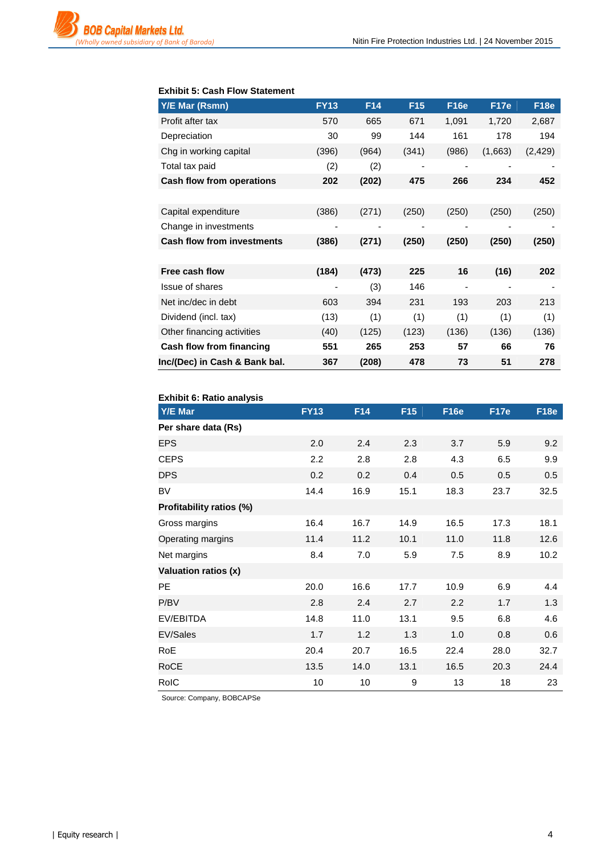

#### **Exhibit 5: Cash Flow Statement**

| <b>Y/E Mar (Rsmn)</b>             | <b>FY13</b> | F <sub>14</sub> | F <sub>15</sub> | <b>F16e</b>              | <b>F17e</b> | <b>F18e</b> |
|-----------------------------------|-------------|-----------------|-----------------|--------------------------|-------------|-------------|
| Profit after tax                  | 570         | 665             | 671             | 1,091                    | 1,720       | 2,687       |
| Depreciation                      | 30          | 99              | 144             | 161                      | 178         | 194         |
| Chg in working capital            | (396)       | (964)           | (341)           | (986)                    | (1,663)     | (2, 429)    |
| Total tax paid                    | (2)         | (2)             |                 |                          |             |             |
| <b>Cash flow from operations</b>  | 202         | (202)           | 475             | 266                      | 234         | 452         |
|                                   |             |                 |                 |                          |             |             |
| Capital expenditure               | (386)       | (271)           | (250)           | (250)                    | (250)       | (250)       |
| Change in investments             |             |                 |                 |                          |             |             |
| <b>Cash flow from investments</b> | (386)       | (271)           | (250)           | (250)                    | (250)       | (250)       |
|                                   |             |                 |                 |                          |             |             |
| Free cash flow                    | (184)       | (473)           | 225             | 16                       | (16)        | 202         |
| <b>Issue of shares</b>            | ٠           | (3)             | 146             | $\overline{\phantom{a}}$ | -           | -           |
| Net inc/dec in debt               | 603         | 394             | 231             | 193                      | 203         | 213         |
| Dividend (incl. tax)              | (13)        | (1)             | (1)             | (1)                      | (1)         | (1)         |
| Other financing activities        | (40)        | (125)           | (123)           | (136)                    | (136)       | (136)       |
| Cash flow from financing          | 551         | 265             | 253             | 57                       | 66          | 76          |
| Inc/(Dec) in Cash & Bank bal.     | 367         | (208)           | 478             | 73                       | 51          | 278         |

| <b>Exhibit 6: Ratio analysis</b> |             |      |                 |             |             |             |
|----------------------------------|-------------|------|-----------------|-------------|-------------|-------------|
| Y/E Mar                          | <b>FY13</b> | F14  | F <sub>15</sub> | <b>F16e</b> | <b>F17e</b> | <b>F18e</b> |
| Per share data (Rs)              |             |      |                 |             |             |             |
| <b>EPS</b>                       | 2.0         | 2.4  | 2.3             | 3.7         | 5.9         | 9.2         |
| <b>CEPS</b>                      | 2.2         | 2.8  | 2.8             | 4.3         | 6.5         | 9.9         |
| <b>DPS</b>                       | 0.2         | 0.2  | 0.4             | 0.5         | 0.5         | 0.5         |
| <b>BV</b>                        | 14.4        | 16.9 | 15.1            | 18.3        | 23.7        | 32.5        |
| Profitability ratios (%)         |             |      |                 |             |             |             |
| Gross margins                    | 16.4        | 16.7 | 14.9            | 16.5        | 17.3        | 18.1        |
| Operating margins                | 11.4        | 11.2 | 10.1            | 11.0        | 11.8        | 12.6        |
| Net margins                      | 8.4         | 7.0  | 5.9             | 7.5         | 8.9         | 10.2        |
| Valuation ratios (x)             |             |      |                 |             |             |             |
| <b>PE</b>                        | 20.0        | 16.6 | 17.7            | 10.9        | 6.9         | 4.4         |
| P/BV                             | 2.8         | 2.4  | 2.7             | 2.2         | 1.7         | 1.3         |
| EV/EBITDA                        | 14.8        | 11.0 | 13.1            | 9.5         | 6.8         | 4.6         |
| EV/Sales                         | 1.7         | 1.2  | 1.3             | 1.0         | 0.8         | 0.6         |
| RoE                              | 20.4        | 20.7 | 16.5            | 22.4        | 28.0        | 32.7        |
| RoCE                             | 13.5        | 14.0 | 13.1            | 16.5        | 20.3        | 24.4        |
| <b>RoIC</b>                      | 10          | 10   | 9               | 13          | 18          | 23          |

Source: Company, BOBCAPSe